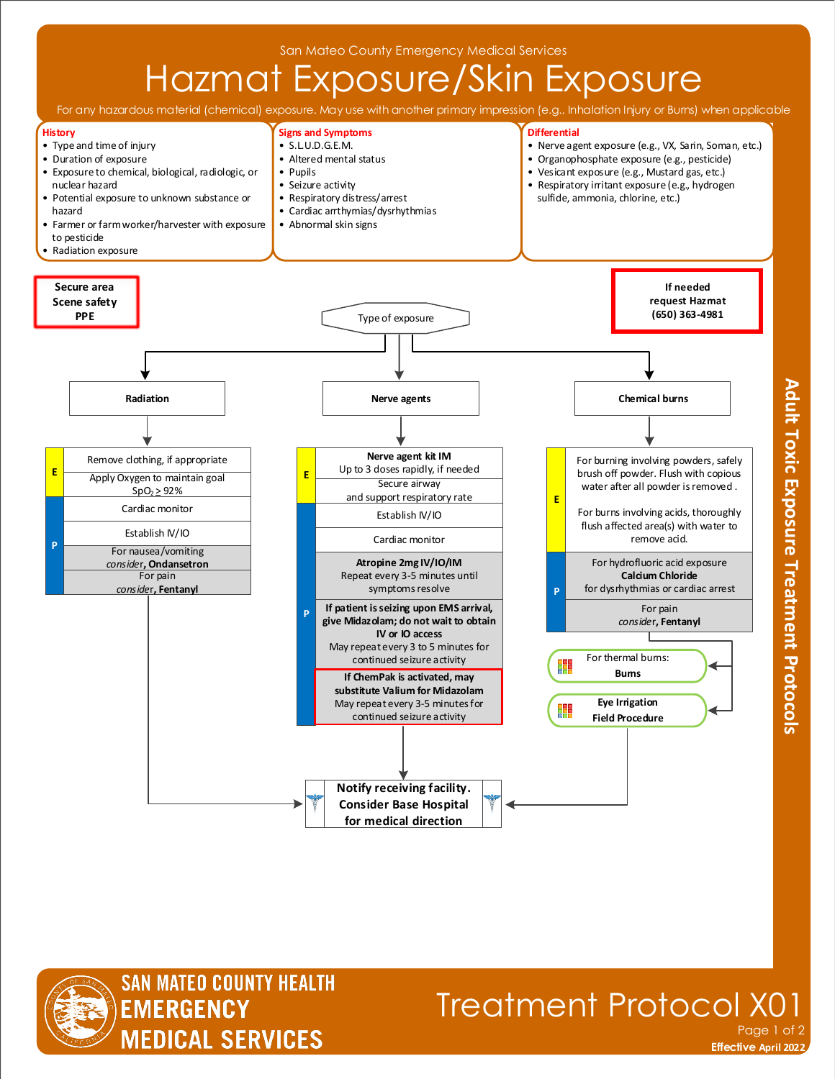



## Treatment Protocol X01 Page 1 of 2

**Effective November 2018 Effective April 2022**